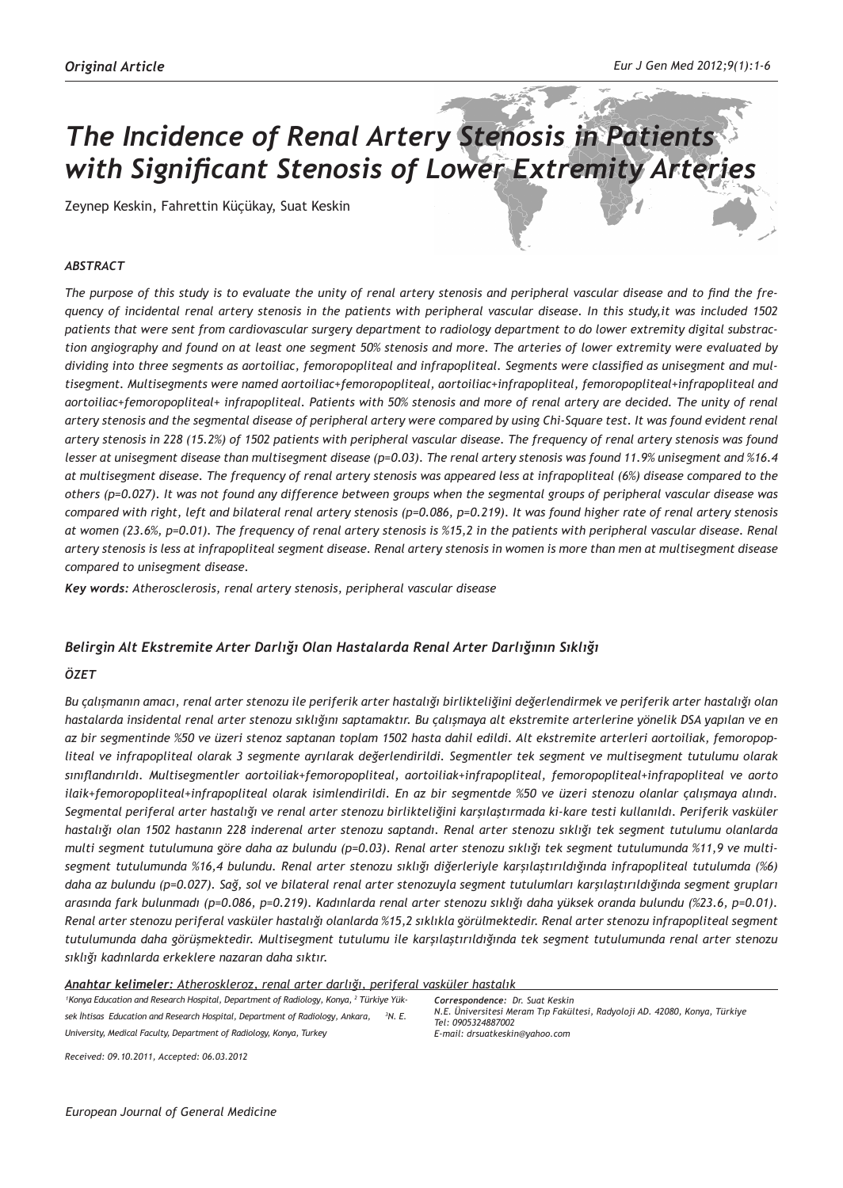# *The Incidence of Renal Artery Stenosis in Patients with Significant Stenosis of Lower Extremity Arteries*

Zeynep Keskin, Fahrettin Küçükay, Suat Keskin

## *ABSTRACT*

*The purpose of this study is to evaluate the unity of renal artery stenosis and peripheral vascular disease and to find the frequency of incidental renal artery stenosis in the patients with peripheral vascular disease. In this study,it was included 1502 patients that were sent from cardiovascular surgery department to radiology department to do lower extremity digital substraction angiography and found on at least one segment 50% stenosis and more. The arteries of lower extremity were evaluated by dividing into three segments as aortoiliac, femoropopliteal and infrapopliteal. Segments were classified as unisegment and multisegment. Multisegments were named aortoiliac+femoropopliteal, aortoiliac+infrapopliteal, femoropopliteal+infrapopliteal and aortoiliac+femoropopliteal+ infrapopliteal. Patients with 50% stenosis and more of renal artery are decided. The unity of renal artery stenosis and the segmental disease of peripheral artery were compared by using Chi-Square test. It was found evident renal artery stenosis in 228 (15.2%) of 1502 patients with peripheral vascular disease. The frequency of renal artery stenosis was found lesser at unisegment disease than multisegment disease (p=0.03). The renal artery stenosis was found 11.9% unisegment and %16.4 at multisegment disease. The frequency of renal artery stenosis was appeared less at infrapopliteal (6%) disease compared to the others (p=0.027). It was not found any difference between groups when the segmental groups of peripheral vascular disease was compared with right, left and bilateral renal artery stenosis (p=0.086, p=0.219). It was found higher rate of renal artery stenosis at women (23.6%, p=0.01). The frequency of renal artery stenosis is %15,2 in the patients with peripheral vascular disease. Renal artery stenosis is less at infrapopliteal segment disease. Renal artery stenosis in women is more than men at multisegment disease compared to unisegment disease.*

*Key words: Atherosclerosis, renal artery stenosis, peripheral vascular disease*

## *Belirgin Alt Ekstremite Arter Darlığı Olan Hastalarda Renal Arter Darlığının Sıklığı*

#### *ÖZET*

*Bu çalışmanın amacı, renal arter stenozu ile periferik arter hastalığı birlikteliğini değerlendirmek ve periferik arter hastalığı olan hastalarda insidental renal arter stenozu sıklığını saptamaktır. Bu çalışmaya alt ekstremite arterlerine yönelik DSA yapılan ve en az bir segmentinde %50 ve üzeri stenoz saptanan toplam 1502 hasta dahil edildi. Alt ekstremite arterleri aortoiliak, femoropopliteal ve infrapopliteal olarak 3 segmente ayrılarak değerlendirildi. Segmentler tek segment ve multisegment tutulumu olarak sınıflandırıldı. Multisegmentler aortoiliak+femoropopliteal, aortoiliak+infrapopliteal, femoropopliteal+infrapopliteal ve aorto ilaik+femoropopliteal+infrapopliteal olarak isimlendirildi. En az bir segmentde %50 ve üzeri stenozu olanlar çalışmaya alındı. Segmental periferal arter hastalığı ve renal arter stenozu birlikteliğini karşılaştırmada ki-kare testi kullanıldı. Periferik vasküler hastalığı olan 1502 hastanın 228 inderenal arter stenozu saptandı. Renal arter stenozu sıklığı tek segment tutulumu olanlarda multi segment tutulumuna göre daha az bulundu (p=0.03). Renal arter stenozu sıklığı tek segment tutulumunda %11,9 ve multisegment tutulumunda %16,4 bulundu. Renal arter stenozu sıklığı diğerleriyle karşılaştırıldığında infrapopliteal tutulumda (%6) daha az bulundu (p=0.027). Sağ, sol ve bilateral renal arter stenozuyla segment tutulumları karşılaştırıldığında segment grupları arasında fark bulunmadı (p=0.086, p=0.219). Kadınlarda renal arter stenozu sıklığı daha yüksek oranda bulundu (%23.6, p=0.01). Renal arter stenozu periferal vasküler hastalığı olanlarda %15,2 sıklıkla görülmektedir. Renal arter stenozu infrapopliteal segment tutulumunda daha görüşmektedir. Multisegment tutulumu ile karşılaştırıldığında tek segment tutulumunda renal arter stenozu sıklığı kadınlarda erkeklere nazaran daha sıktır.*

#### *Anahtar kelimeler: Atheroskleroz, renal arter darlığı, periferal vasküler hastalık*

<sup>1</sup> Konya Education and Research Hospital, Department of Radiology, Konya, <sup>2</sup> Türkiye Yük*sek İhtisas Education and Research Hospital, Department of Radiology, Ankara, <sup>3</sup> N. E. University, Medical Faculty, Department of Radiology, Konya, Turkey*

*Correspondence: Dr. Suat Keskin N.E. Üniversitesi Meram Tıp Fakültesi, Radyoloji AD. 42080, Konya, Türkiye Tel: 0905324887002 E-mail: drsuatkeskin@yahoo.com*

*Received: 09.10.2011, Accepted: 06.03.2012*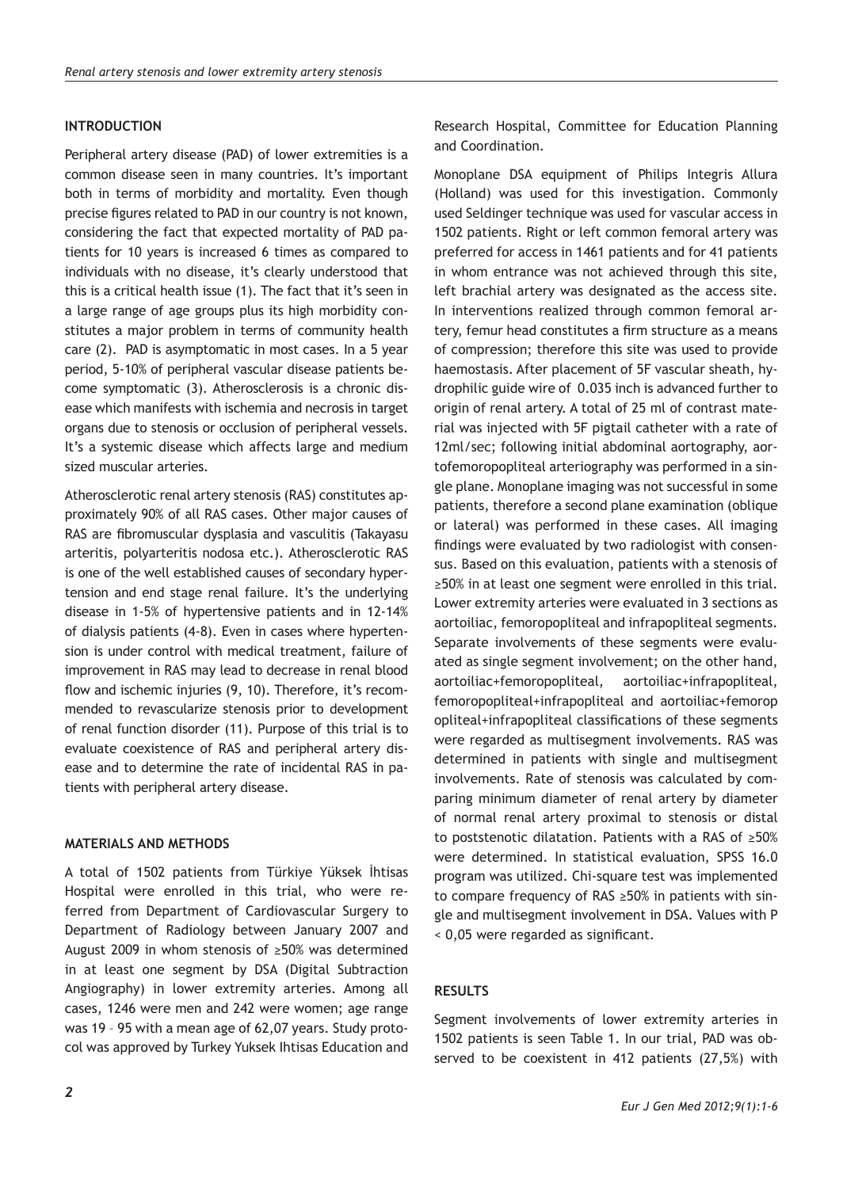# **INTRODUCTION**

Peripheral artery disease (PAD) of lower extremities is a common disease seen in many countries. It's important both in terms of morbidity and mortality. Even though precise figures related to PAD in our country is not known, considering the fact that expected mortality of PAD patients for 10 years is increased 6 times as compared to individuals with no disease, it's clearly understood that this is a critical health issue (1). The fact that it's seen in a large range of age groups plus its high morbidity constitutes a major problem in terms of community health care (2). PAD is asymptomatic in most cases. In a 5 year period, 5-10% of peripheral vascular disease patients become symptomatic (3). Atherosclerosis is a chronic disease which manifests with ischemia and necrosis in target organs due to stenosis or occlusion of peripheral vessels. It's a systemic disease which affects large and medium sized muscular arteries.

Atherosclerotic renal artery stenosis (RAS) constitutes approximately 90% of all RAS cases. Other major causes of RAS are fibromuscular dysplasia and vasculitis (Takayasu arteritis, polyarteritis nodosa etc.). Atherosclerotic RAS is one of the well established causes of secondary hypertension and end stage renal failure. It's the underlying disease in 1-5% of hypertensive patients and in 12-14% of dialysis patients (4-8). Even in cases where hypertension is under control with medical treatment, failure of improvement in RAS may lead to decrease in renal blood flow and ischemic injuries (9, 10). Therefore, it's recommended to revascularize stenosis prior to development of renal function disorder (11). Purpose of this trial is to evaluate coexistence of RAS and peripheral artery disease and to determine the rate of incidental RAS in patients with peripheral artery disease.

# **MATERIALS AND METHODS**

A total of 1502 patients from Türkiye Yüksek İhtisas Hospital were enrolled in this trial, who were referred from Department of Cardiovascular Surgery to Department of Radiology between January 2007 and August 2009 in whom stenosis of ≥50% was determined in at least one segment by DSA (Digital Subtraction Angiography) in lower extremity arteries. Among all cases, 1246 were men and 242 were women; age range was 19 – 95 with a mean age of 62,07 years. Study protocol was approved by Turkey Yuksek Ihtisas Education and Research Hospital, Committee for Education Planning and Coordination.

Monoplane DSA equipment of Philips Integris Allura (Holland) was used for this investigation. Commonly used Seldinger technique was used for vascular access in 1502 patients. Right or left common femoral artery was preferred for access in 1461 patients and for 41 patients in whom entrance was not achieved through this site, left brachial artery was designated as the access site. In interventions realized through common femoral artery, femur head constitutes a firm structure as a means of compression; therefore this site was used to provide haemostasis. After placement of 5F vascular sheath, hydrophilic guide wire of 0.035 inch is advanced further to origin of renal artery. A total of 25 ml of contrast material was injected with 5F pigtail catheter with a rate of 12ml/sec; following initial abdominal aortography, aortofemoropopliteal arteriography was performed in a single plane. Monoplane imaging was not successful in some patients, therefore a second plane examination (oblique or lateral) was performed in these cases. All imaging findings were evaluated by two radiologist with consensus. Based on this evaluation, patients with a stenosis of ≥50% in at least one segment were enrolled in this trial. Lower extremity arteries were evaluated in 3 sections as aortoiliac, femoropopliteal and infrapopliteal segments. Separate involvements of these segments were evaluated as single segment involvement; on the other hand, aortoiliac+femoropopliteal, aortoiliac+infrapopliteal, femoropopliteal+infrapopliteal and aortoiliac+femorop opliteal+infrapopliteal classifications of these segments were regarded as multisegment involvements. RAS was determined in patients with single and multisegment involvements. Rate of stenosis was calculated by comparing minimum diameter of renal artery by diameter of normal renal artery proximal to stenosis or distal to poststenotic dilatation. Patients with a RAS of ≥50% were determined. In statistical evaluation, SPSS 16.0 program was utilized. Chi-square test was implemented to compare frequency of RAS ≥50% in patients with single and multisegment involvement in DSA. Values with P < 0,05 were regarded as significant.

# **RESULTS**

Segment involvements of lower extremity arteries in 1502 patients is seen Table 1. In our trial, PAD was observed to be coexistent in 412 patients (27,5%) with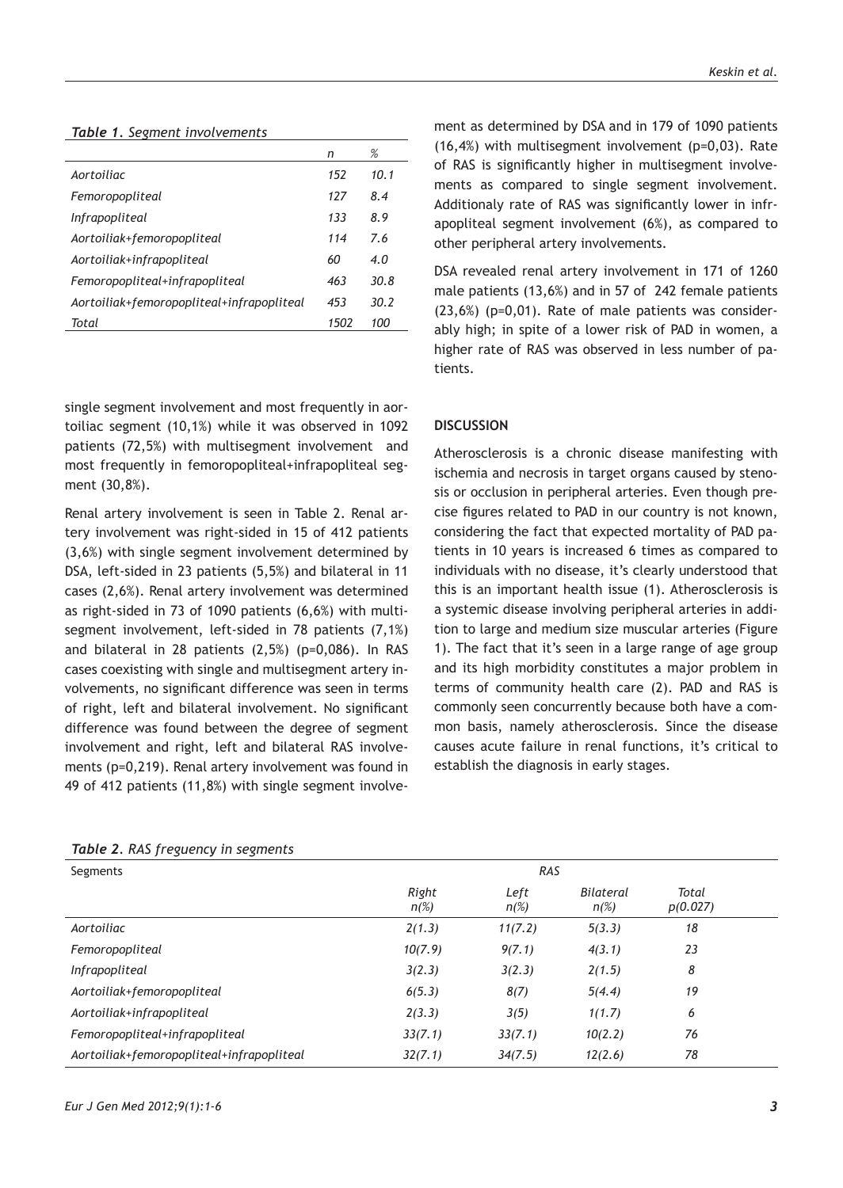#### *Table 1. Segment involvements*

|                                           | n    | %    |
|-------------------------------------------|------|------|
| Aortoiliac                                | 152  | 10.1 |
| Femoropopliteal                           | 127  | 8.4  |
| <i>Infrapopliteal</i>                     | 133  | 8.9  |
| Aortoiliak+femoropopliteal                | 114  | 7.6  |
| Aortoiliak+infrapopliteal                 | 60   | 4.0  |
| Femoropopliteal+infrapopliteal            | 463  | 30.8 |
| Aortoiliak+femoropopliteal+infrapopliteal | 453  | 30.2 |
| Total                                     | 1502 | 100  |

single segment involvement and most frequently in aortoiliac segment (10,1%) while it was observed in 1092 patients (72,5%) with multisegment involvement and most frequently in femoropopliteal+infrapopliteal segment (30,8%).

Renal artery involvement is seen in Table 2. Renal artery involvement was right-sided in 15 of 412 patients (3,6%) with single segment involvement determined by DSA, left-sided in 23 patients (5,5%) and bilateral in 11 cases (2,6%). Renal artery involvement was determined as right-sided in 73 of 1090 patients (6,6%) with multisegment involvement, left-sided in 78 patients (7,1%) and bilateral in 28 patients (2,5%) (p=0,086). In RAS cases coexisting with single and multisegment artery involvements, no significant difference was seen in terms of right, left and bilateral involvement. No significant difference was found between the degree of segment involvement and right, left and bilateral RAS involvements (p=0,219). Renal artery involvement was found in 49 of 412 patients (11,8%) with single segment involve-

| <b>Table 2. RAS frequency in segments</b> |                  |                 |                      |                   |  |
|-------------------------------------------|------------------|-----------------|----------------------|-------------------|--|
| Segments                                  |                  | RAS             |                      |                   |  |
|                                           | Right<br>$n(\%)$ | Left<br>$n(\%)$ | Bilateral<br>$n(\%)$ | Total<br>p(0.027) |  |
| Aortoiliac                                | 2(1.3)           | 11(7.2)         | 5(3.3)               | 18                |  |
| Femoropopliteal                           | 10(7.9)          | 9(7.1)          | 4(3.1)               | 23                |  |
| Infrapopliteal                            | 3(2.3)           | 3(2.3)          | 2(1.5)               | 8                 |  |
| Aortoiliak+femoropopliteal                | 6(5.3)           | 8(7)            | 5(4.4)               | 19                |  |
| Aortoiliak+infrapopliteal                 | 2(3.3)           | 3(5)            | 1(1.7)               | 6                 |  |
| Femoropopliteal+infrapopliteal            | 33(7.1)          | 33(7.1)         | 10(2.2)              | 76                |  |
| Aortoiliak+femoropopliteal+infrapopliteal | 32(7.1)          | 34(7.5)         | 12(2.6)              | 78                |  |

## *Table 2. RAS freguency in segments*

ment as determined by DSA and in 179 of 1090 patients (16,4%) with multisegment involvement (p=0,03). Rate of RAS is significantly higher in multisegment involvements as compared to single segment involvement. Additionaly rate of RAS was significantly lower in infrapopliteal segment involvement (6%), as compared to other peripheral artery involvements.

DSA revealed renal artery involvement in 171 of 1260 male patients (13,6%) and in 57 of 242 female patients (23,6%) (p=0,01). Rate of male patients was considerably high; in spite of a lower risk of PAD in women, a higher rate of RAS was observed in less number of patients.

## **DISCUSSION**

Atherosclerosis is a chronic disease manifesting with ischemia and necrosis in target organs caused by stenosis or occlusion in peripheral arteries. Even though precise figures related to PAD in our country is not known, considering the fact that expected mortality of PAD patients in 10 years is increased 6 times as compared to individuals with no disease, it's clearly understood that this is an important health issue (1). Atherosclerosis is a systemic disease involving peripheral arteries in addition to large and medium size muscular arteries (Figure 1). The fact that it's seen in a large range of age group and its high morbidity constitutes a major problem in terms of community health care (2). PAD and RAS is commonly seen concurrently because both have a common basis, namely atherosclerosis. Since the disease causes acute failure in renal functions, it's critical to establish the diagnosis in early stages.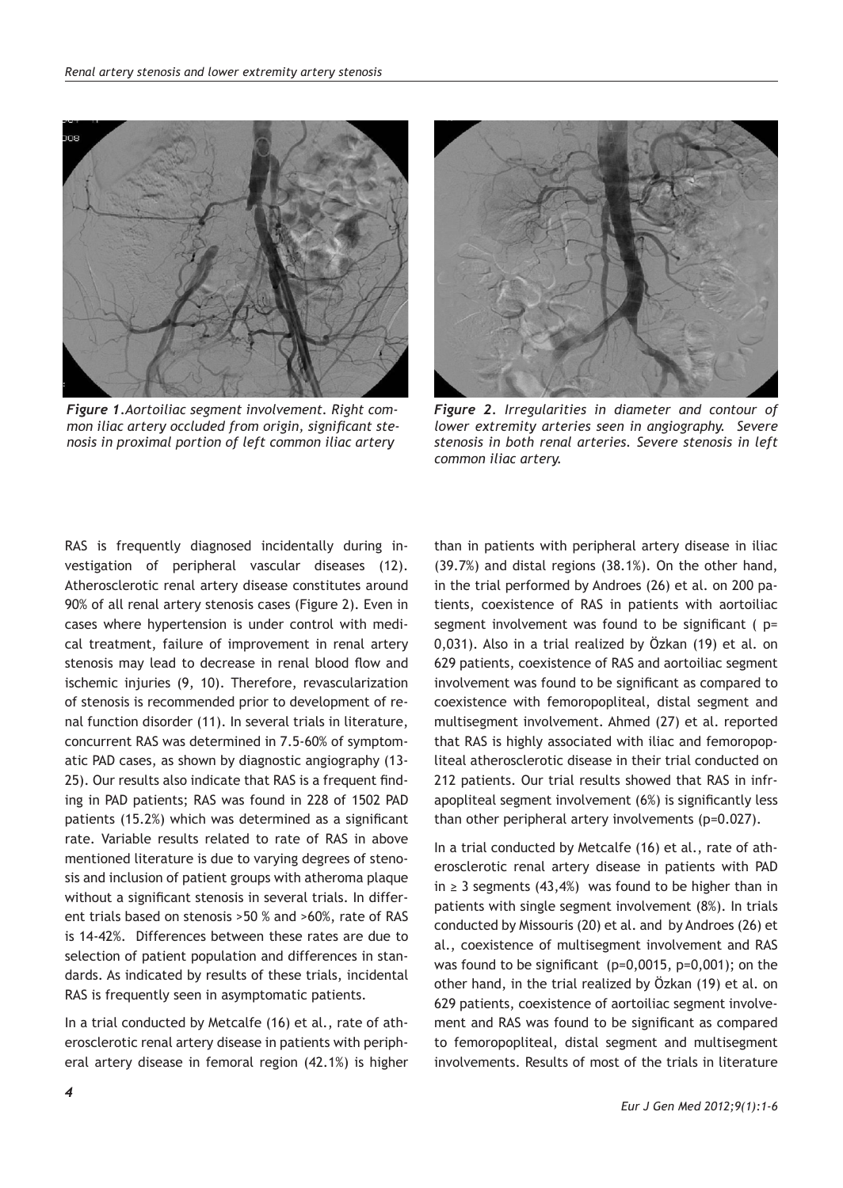

*Figure 1.Aortoiliac segment involvement. Right common iliac artery occluded from origin, significant stenosis in proximal portion of left common iliac artery*



*Figure 2. Irregularities in diameter and contour of lower extremity arteries seen in angiography. Severe stenosis in both renal arteries. Severe stenosis in left common iliac artery.*

RAS is frequently diagnosed incidentally during investigation of peripheral vascular diseases (12). Atherosclerotic renal artery disease constitutes around 90% of all renal artery stenosis cases (Figure 2). Even in cases where hypertension is under control with medical treatment, failure of improvement in renal artery stenosis may lead to decrease in renal blood flow and ischemic injuries (9, 10). Therefore, revascularization of stenosis is recommended prior to development of renal function disorder (11). In several trials in literature, concurrent RAS was determined in 7.5-60% of symptomatic PAD cases, as shown by diagnostic angiography (13- 25). Our results also indicate that RAS is a frequent finding in PAD patients; RAS was found in 228 of 1502 PAD patients (15.2%) which was determined as a significant rate. Variable results related to rate of RAS in above mentioned literature is due to varying degrees of stenosis and inclusion of patient groups with atheroma plaque without a significant stenosis in several trials. In different trials based on stenosis >50 % and >60%, rate of RAS is 14-42%. Differences between these rates are due to selection of patient population and differences in standards. As indicated by results of these trials, incidental RAS is frequently seen in asymptomatic patients.

In a trial conducted by Metcalfe (16) et al., rate of atherosclerotic renal artery disease in patients with peripheral artery disease in femoral region (42.1%) is higher

than in patients with peripheral artery disease in iliac (39.7%) and distal regions (38.1%). On the other hand, in the trial performed by Androes (26) et al. on 200 patients, coexistence of RAS in patients with aortoiliac segment involvement was found to be significant ( p= 0,031). Also in a trial realized by Özkan (19) et al. on 629 patients, coexistence of RAS and aortoiliac segment involvement was found to be significant as compared to coexistence with femoropopliteal, distal segment and multisegment involvement. Ahmed (27) et al. reported that RAS is highly associated with iliac and femoropopliteal atherosclerotic disease in their trial conducted on 212 patients. Our trial results showed that RAS in infrapopliteal segment involvement (6%) is significantly less than other peripheral artery involvements (p=0.027).

In a trial conducted by Metcalfe (16) et al., rate of atherosclerotic renal artery disease in patients with PAD in ≥ 3 segments (43,4%) was found to be higher than in patients with single segment involvement (8%). In trials conducted by Missouris (20) et al. and by Androes (26) et al., coexistence of multisegment involvement and RAS was found to be significant (p=0,0015, p=0,001); on the other hand, in the trial realized by Özkan (19) et al. on 629 patients, coexistence of aortoiliac segment involvement and RAS was found to be significant as compared to femoropopliteal, distal segment and multisegment involvements. Results of most of the trials in literature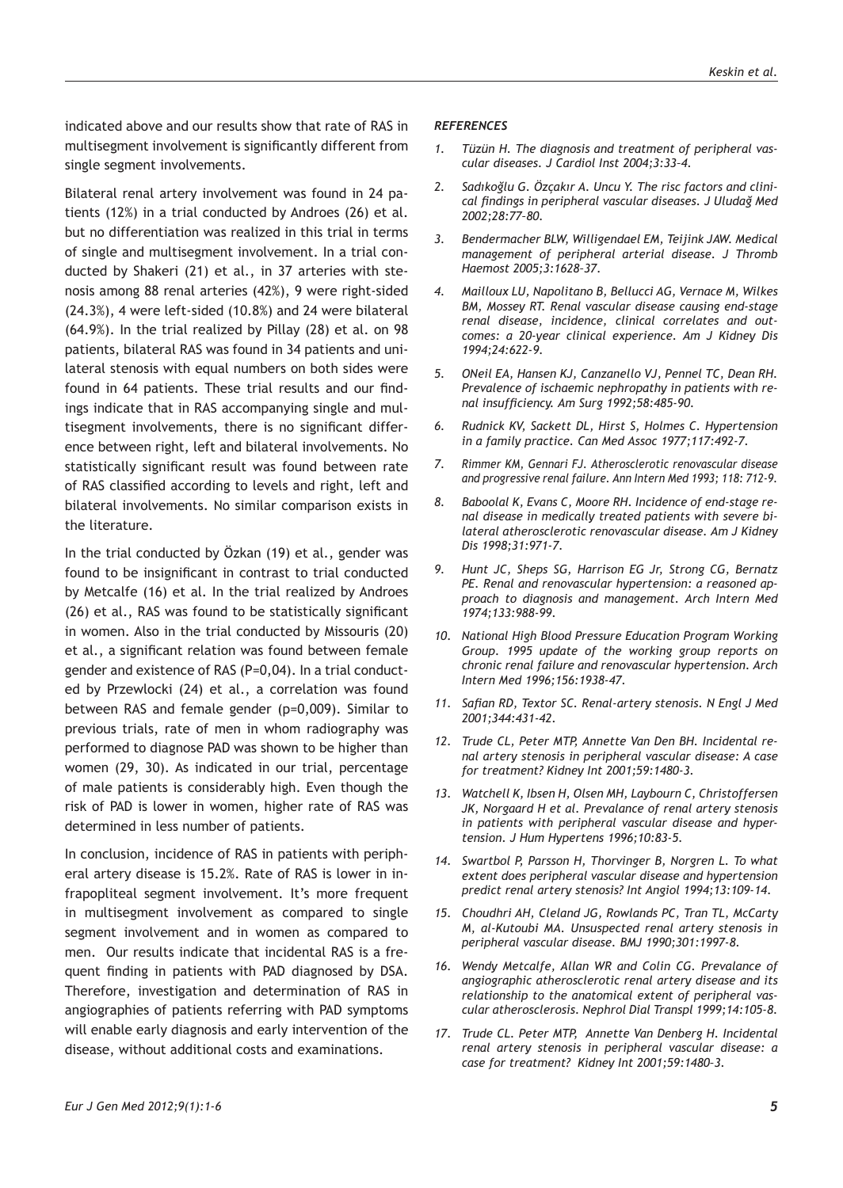indicated above and our results show that rate of RAS in multisegment involvement is significantly different from single segment involvements.

Bilateral renal artery involvement was found in 24 patients (12%) in a trial conducted by Androes (26) et al. but no differentiation was realized in this trial in terms of single and multisegment involvement. In a trial conducted by Shakeri (21) et al., in 37 arteries with stenosis among 88 renal arteries (42%), 9 were right-sided (24.3%), 4 were left-sided (10.8%) and 24 were bilateral (64.9%). In the trial realized by Pillay (28) et al. on 98 patients, bilateral RAS was found in 34 patients and unilateral stenosis with equal numbers on both sides were found in 64 patients. These trial results and our findings indicate that in RAS accompanying single and multisegment involvements, there is no significant difference between right, left and bilateral involvements. No statistically significant result was found between rate of RAS classified according to levels and right, left and bilateral involvements. No similar comparison exists in the literature.

In the trial conducted by Özkan (19) et al., gender was found to be insignificant in contrast to trial conducted by Metcalfe (16) et al. In the trial realized by Androes (26) et al., RAS was found to be statistically significant in women. Also in the trial conducted by Missouris (20) et al., a significant relation was found between female gender and existence of RAS (P=0,04). In a trial conducted by Przewlocki (24) et al., a correlation was found between RAS and female gender (p=0,009). Similar to previous trials, rate of men in whom radiography was performed to diagnose PAD was shown to be higher than women (29, 30). As indicated in our trial, percentage of male patients is considerably high. Even though the risk of PAD is lower in women, higher rate of RAS was determined in less number of patients.

In conclusion, incidence of RAS in patients with peripheral artery disease is 15.2%. Rate of RAS is lower in infrapopliteal segment involvement. It's more frequent in multisegment involvement as compared to single segment involvement and in women as compared to men. Our results indicate that incidental RAS is a frequent finding in patients with PAD diagnosed by DSA. Therefore, investigation and determination of RAS in angiographies of patients referring with PAD symptoms will enable early diagnosis and early intervention of the disease, without additional costs and examinations.

## *REFERENCES*

- *1. Tüzün H. The diagnosis and treatment of peripheral vascular diseases. J Cardiol Inst 2004;3:33–4.*
- *2. Sadıkoğlu G. Özçakır A. Uncu Y. The risc factors and clinical findings in peripheral vascular diseases. J Uludağ Med 2002;28:77–80.*
- *3. Bendermacher BLW, Willigendael EM, Teijink JAW. Medical management of peripheral arterial disease. J Thromb Haemost 2005;3:1628–37.*
- *4. Mailloux LU, Napolitano B, Bellucci AG, Vernace M, Wilkes BM, Mossey RT. Renal vascular disease causing end-stage renal disease, incidence, clinical correlates and outcomes: a 20-year clinical experience. Am J Kidney Dis 1994;24:622-9.*
- *5. ONeil EA, Hansen KJ, Canzanello VJ, Pennel TC, Dean RH. Prevalence of ischaemic nephropathy in patients with renal insufficiency. Am Surg 1992;58:485-90.*
- *6. Rudnick KV, Sackett DL, Hirst S, Holmes C. Hypertension in a family practice. Can Med Assoc 1977;117:492-7.*
- *7. Rimmer KM, Gennari FJ. Atherosclerotic renovascular disease and progressive renal failure. Ann Intern Med 1993; 118: 712-9.*
- *8. Baboolal K, Evans C, Moore RH. Incidence of end-stage renal disease in medically treated patients with severe bilateral atherosclerotic renovascular disease. Am J Kidney Dis 1998;31:971-7.*
- *9. Hunt JC, Sheps SG, Harrison EG Jr, Strong CG, Bernatz PE. Renal and renovascular hypertension: a reasoned approach to diagnosis and management. Arch Intern Med 1974;133:988-99.*
- *10. National High Blood Pressure Education Program Working Group. 1995 update of the working group reports on chronic renal failure and renovascular hypertension. Arch Intern Med 1996;156:1938-47.*
- *11. Safian RD, Textor SC. Renal-artery stenosis. N Engl J Med 2001;344:431-42.*
- *12. Trude CL, Peter MTP, Annette Van Den BH. Incidental renal artery stenosis in peripheral vascular disease: A case for treatment? Kidney Int 2001;59:1480-3.*
- *13. Watchell K, Ibsen H, Olsen MH, Laybourn C, Christoffersen JK, Norgaard H et al. Prevalance of renal artery stenosis in patients with peripheral vascular disease and hypertension. J Hum Hypertens 1996;10:83-5.*
- *14. Swartbol P, Parsson H, Thorvinger B, Norgren L. To what extent does peripheral vascular disease and hypertension predict renal artery stenosis? Int Angiol 1994;13:109-14.*
- *15. Choudhri AH, Cleland JG, Rowlands PC, Tran TL, McCarty M, al-Kutoubi MA. Unsuspected renal artery stenosis in peripheral vascular disease. BMJ 1990;301:1997-8.*
- *16. Wendy Metcalfe, Allan WR and Colin CG. Prevalance of angiographic atherosclerotic renal artery disease and its relationship to the anatomical extent of peripheral vascular atherosclerosis. Nephrol Dial Transpl 1999;14:105-8.*
- *17. Trude CL. Peter MTP, Annette Van Denberg H. Incidental renal artery stenosis in peripheral vascular disease: a case for treatment? Kidney Int 2001;59:1480–3.*